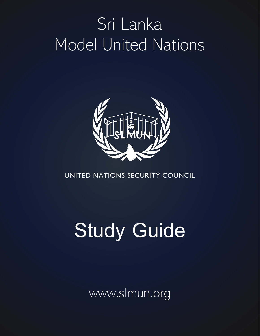## Sri Lanka Model United Nations



## UNITED NATIONS SECURITY COUNCIL

# **Study Guide**

www.slmun.org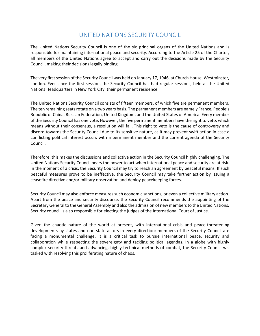### UNITED NATIONS SECURITY COUNCIL

The United Nations Security Council is one of the six principal organs of the United Nations and is responsible for maintaining international peace and security. According to the Article 25 of the Charter, all members of the United Nations agree to accept and carry out the decisions made by the Security Council, making their decisions legally binding.

The very first session of the Security Council was held on January 17, 1946, at Church House, Westminster, London. Ever since the first session, the Security Council has had regular sessions, held at the United Nations Headquarters in New York City, their permanent residence

The United Nations Security Council consists of fifteen members, of which five are permanent members. The ten remaining seats rotate on a two years basis. The permanent members are namely France, People's Republic of China, Russian Federation, United Kingdom, and the United States of America. Every member of the Security Council has one vote. However, the five permanent members have the right to veto, which means without their consensus, a resolution will fail. This right to veto is the cause of controversy and discord towards the Security Council due to its sensitive nature, as it may prevent swift action in case a conflicting political interest occurs with a permanent member and the current agenda of the Security Council.

Therefore, this makes the discussions and collective action in the Security Council highly challenging. The United Nations Security Council bears the power to act when international peace and security are at risk. In the moment of a crisis, the Security Council may try to reach an agreement by peaceful means. If such peaceful measures prove to be ineffective, the Security Council may take further action by issuing a ceasefire directive and/or military observation and deploy peacekeeping forces.

Security Council may also enforce measures such economic sanctions, or even a collective military action. Apart from the peace and security discourse, the Security Council recommends the appointing of the Secretary General to the General Assembly and also the admission of new members to the United Nations. Security council is also responsible for electing the judges of the International Court of Justice.

Given the chaotic nature of the world at present, with international crisis and peace-threatening developments by states and non-state actors in every direction; members of the Security Council are facing a monumental challenge. It is a critical task to pursue international peace, security and collaboration while respecting the sovereignty and tackling political agendas. In a globe with highly complex security threats and advancing, highly technical methods of combat, the Security Council wis tasked with resolving this proliferating nature of chaos.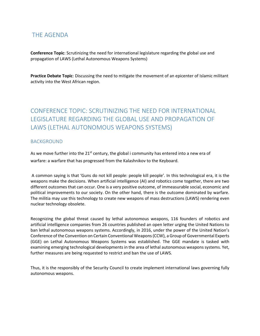## THE AGENDA

**Conference Topic**: Scrutinizing the need for international legislature regarding the global use and propagation of LAWS (Lethal Autonomous Weapons Systems)

**Practice Debate Topic**: Discussing the need to mitigate the movement of an epicenter of Islamic militant activity into the West African region.

## CONFERENCE TOPIC: SCRUTINIZING THE NEED FOR INTERNATIONAL LEGISLATURE REGARDING THE GLOBAL USE AND PROPAGATION OF LAWS (LETHAL AUTONOMOUS WEAPONS SYSTEMS)

#### **BACKGROUND**

As we move further into the  $21^{st}$  century, the global i community has entered into a new era of warfare: a warfare that has progressed from the Kalashnikov to the Keyboard.

A common saying is that 'Guns do not kill people: people kill people'. In this technological era, it is the weapons make the decisions. When artificial intelligence (AI) and robotics come together, there are two different outcomes that can occur. One is a very positive outcome, of immeasurable social, economic and political improvements to our society. On the other hand, there is the outcome dominated by warfare. The militia may use this technology to create new weapons of mass destructions (LAWS) rendering even nuclear technology obsolete.

Recognizing the global threat caused by lethal autonomous weapons, 116 founders of robotics and artificial intelligence companies from 26 countries published an open letter urging the United Nations to ban lethal autonomous weapons systems. Accordingly, in 2016, under the power of the United Nation's Conference of the Convention on Certain Conventional Weapons (CCW), a Group of Governmental Experts (GGE) on Lethal Autonomous Weapons Systems was established. The GGE mandate is tasked with examining emerging technological developments in the area of lethal autonomous weapons systems. Yet, further measures are being requested to restrict and ban the use of LAWS.

Thus, it is the responsibly of the Security Council to create implement international laws governing fully autonomous weapons.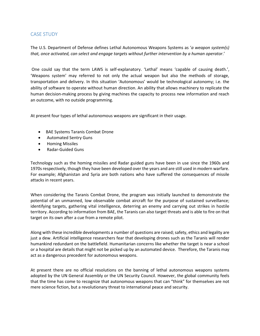#### CASE STUDY

The U.S. Department of Defense defines Lethal Autonomous Weapons Systems as '*a weapon system(s) that, once activated, can select and engage targets without further intervention by a human operator*.'

One could say that the term LAWS is self-explanatory. 'Lethal' means 'capable of causing death.', 'Weapons system' may referred to not only the actual weapon but also the methods of storage, transportation and delivery. In this situation 'Autonomous' would be technological autonomy; i.e. the ability of software to operate without human direction. An ability that allows machinery to replicate the human decision-making process by giving machines the capacity to process new information and reach an outcome, with no outside programming.

At present four types of lethal autonomous weapons are significant in their usage.

- BAE Systems Taranis Combat Drone
- Automated Sentry Guns
- Homing Missiles
- Radar-Guided Guns

Technology such as the homing missiles and Radar guided guns have been in use since the 1960s and 1970s respectively, though they have been developed over the years and are still used in modern warfare. For example; Afghanistan and Syria are both nations who have suffered the consequences of missile attacks in recent years.

When considering the Taranis Combat Drone, the program was initially launched to demonstrate the potential of an unmanned, low observable combat aircraft for the purpose of sustained surveillance; identifying targets, gathering vital intelligence, deterring an enemy and carrying out strikes in hostile territory. According to information from BAE, the Taranis can also target threats and is able to fire on that target on its own after a cue from a remote pilot.

Along with these incredible developments a number of questions are raised; safety, ethics and legality are just a dew. Artificial intelligence researchers fear that developing drones such as the Taranis will render humankind redundant on the battlefield. Humanitarian concerns like whether the target is near a school or a hospital are details that might not be picked up by an automated device. Therefore, the Taranis may act as a dangerous precedent for autonomous weapons.

At present there are no official resolutions on the banning of lethal autonomous weapons systems adopted by the UN General Assembly or the UN Security Council. However, the global community feels that the time has come to recognize that autonomous weapons that can "think" for themselves are not mere science fiction, but a revolutionary threat to international peace and security.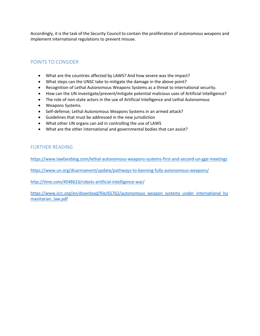Accordingly, it is the task of the Security Council to contain the proliferation of autonomous weapons and implement international regulations to prevent misuse.

#### POINTS TO CONSIDER

- What are the countries affected by LAWS? And how severe was the impact?
- What steps can the UNSC take to mitigate the damage in the above point?
- Recognition of Lethal Autonomous Weapons Systems as a threat to international security.
- How can the UN investigate/prevent/mitigate potential malicious uses of Artificial Intelligence?
- The role of non-state actors in the use of Artificial Intelligence and Lethal Autonomous
- Weapons Systems.
- Self-defense; Lethal Autonomous Weapons Systems in an armed attack?
- Guidelines that must be addressed in the new jurisdiction
- What other UN organs can aid in controlling the use of LAWS
- What are the other international and governmental bodies that can assist?

#### FURTHER READING

<https://www.lawfareblog.com/lethal-autonomous-weapons-systems-first-and-second-un-gge-meetings>

<https://www.un.org/disarmament/update/pathways-to-banning-fully-autonomous-weapons/>

<http://time.com/4948633/robots-artificial-intelligence-war/>

[https://www.icrc.org/en/download/file/65762/autonomous\\_weapon\\_systems\\_under\\_international\\_hu](https://www.icrc.org/en/download/file/65762/autonomous_weapon_systems_under_international_humanitarian_law.pdf) [manitarian\\_law.pdf](https://www.icrc.org/en/download/file/65762/autonomous_weapon_systems_under_international_humanitarian_law.pdf)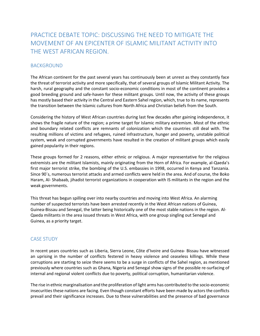## PRACTICE DEBATE TOPIC: DISCUSSING THE NEED TO MITIGATE THE MOVEMENT OF AN EPICENTER OF ISLAMIC MILITANT ACTIVITY INTO THE WEST AFRICAN REGION.

#### BACKGROUND

The African continent for the past several years has continuously been at unrest as they constantly face the threat of terrorist activity and more specifically, that of several groups of Islamic Militant Activity. The harsh, rural geography and the constant socio-economic conditions in most of the continent provides a good breeding ground and safe-haven for these militant groups. Until now, the activity of these groups has mostly based their activity in the Central and Eastern Sahel region, which, true to its name, represents the transition between the Islamic cultures from North Africa and Christian beliefs from the South.

Considering the history of West African countries during last few decades after gaining independence, it shows the fragile nature of the region; a prime target for Islamic military extremism. Most of the ethnic and boundary related conflicts are remnants of colonization which the countries still deal with. The resulting millions of victims and refugees, ruined infrastructure, hunger and poverty, unstable political system, weak and corrupted governments have resulted in the creation of militant groups which easily gained popularity in their regions.

These groups formed for 2 reasons, either ethnic or religious. A major representative for the religious extremists are the militant Islamists, mainly originating from the Horn of Africa. For example, al-Qaeda's first major terrorist strike, the bombing of the U.S. embassies in 1998, occurred in Kenya and Tanzania. Since 90´s, numerous terrorist attacks and armed conflicts were held in the area. And of course, the Boko Haram, Al- Shabaab, jihadist terrorist organizations in cooperation with IS militants in the region and the weak governments.

This threat has begun spilling over into nearby countries and moving into West Africa. An alarming number of suspected terrorists have been arrested recently in the West African nations of Guinea, Guinea-Bissau and Senegal, the latter being historically one of the most stable nations in the region. Al-Qaeda militants in the area issued threats in West Africa, with one group singling out [Senegal and](https://urldefense.proofpoint.com/v2/url?u=http-3A__www.middleeasteye.net_news_france-2Dour-2Dfirst-2Denemy-2Dsays-2Diyad-2Dag-2Dghali-2Demir-2Dsahel-2D189395786&d=DwMFaQ&c=RAhzPLrCAq19eJdrcQiUVEwFYoMRqGDAXQ_puw5tYjg&r=NDXiYhx_45OqEBkf7zVXvXW3OYHVUOq64FtPkQcfiuY&m=QJ0Zp3bGqmCLXi2w8ZCM3Xs1ux6tu9oQVASqB5PIcmQ&s=9jufWcHS7JB8F38EdVAPIt5NOWtAh_2m__SCMFo9QDg&e=)  [Guinea,](https://urldefense.proofpoint.com/v2/url?u=http-3A__www.middleeasteye.net_news_france-2Dour-2Dfirst-2Denemy-2Dsays-2Diyad-2Dag-2Dghali-2Demir-2Dsahel-2D189395786&d=DwMFaQ&c=RAhzPLrCAq19eJdrcQiUVEwFYoMRqGDAXQ_puw5tYjg&r=NDXiYhx_45OqEBkf7zVXvXW3OYHVUOq64FtPkQcfiuY&m=QJ0Zp3bGqmCLXi2w8ZCM3Xs1ux6tu9oQVASqB5PIcmQ&s=9jufWcHS7JB8F38EdVAPIt5NOWtAh_2m__SCMFo9QDg&e=) as a priority target.

#### CASE STUDY

In recent years countries such as Liberia, Sierra Leone, Côte d'Ivoire and Guinea- Bissau have witnessed an uprising in the number of conflicts festered in heavy violence and ceaseless killings. While these corruptions are starting to seize there seems to be a surge in conflicts of the Sahel region, as mentioned previously where countries such as Ghana, Nigeria and Senegal show signs of the possible re-surfacing of internal and regional violent conflicts due to poverty, political corruption, humanitarian violence.

The rise in ethnic marginalisation and the proliferation of light arms has contributed to the socio-economic insecurities these nations are facing. Even though constant efforts have been made by actors the conflicts prevail and their significance increases. Due to these vulnerabilities and the presence of bad governance